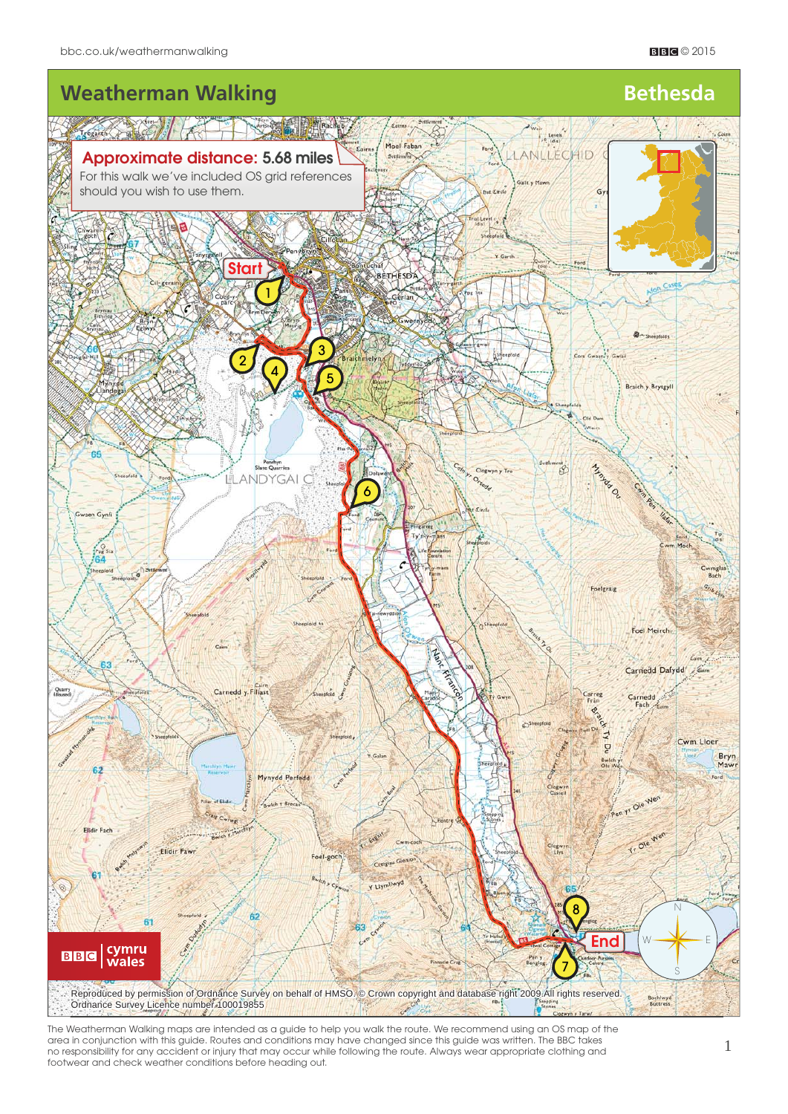

The Weatherman Walking maps are intended as a guide to help you walk the route. We recommend using an OS map of the area in conjunction with this guide. Routes and conditions may have changed since this guide was written. The BBC takes no responsibility for any accident or injury that may occur while following the route. Always wear appropriate clothing and footwear and check weather conditions before heading out.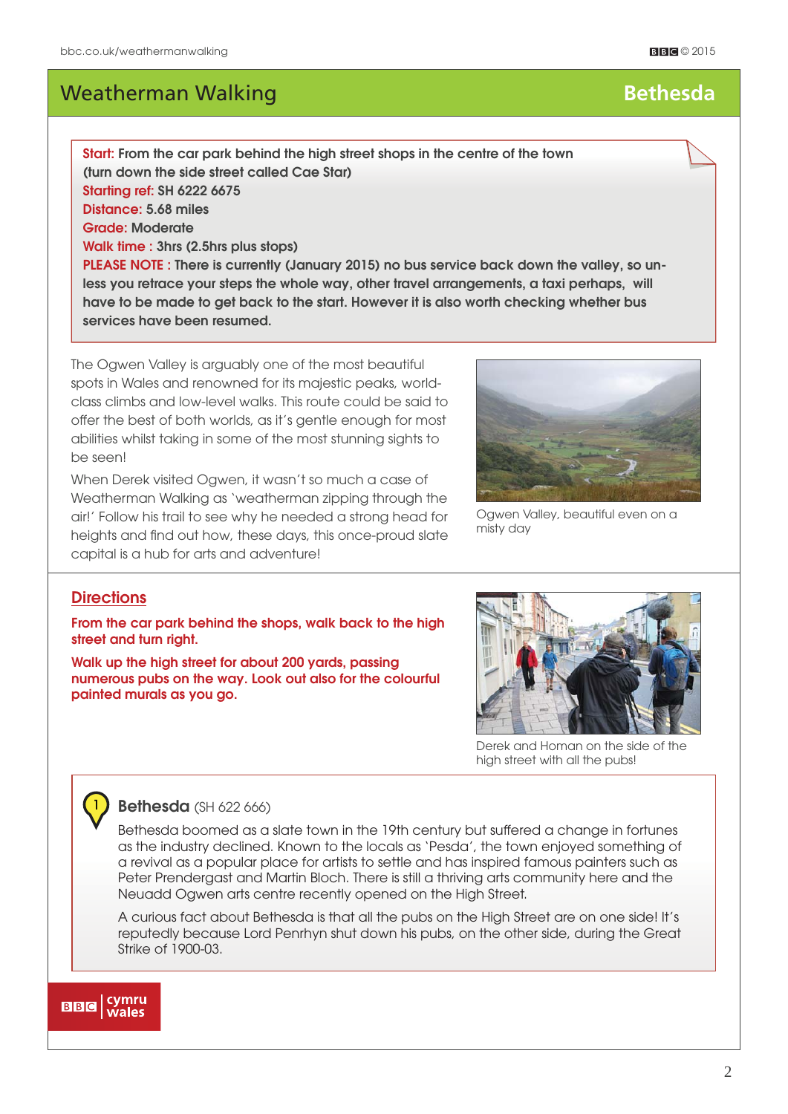**Start: From the car park behind the high street shops in the centre of the town (turn down the side street called Cae Star) Starting ref: SH 6222 6675 Distance: 5.68 miles Grade: Moderate Walk time : 3hrs (2.5hrs plus stops)** 

**PLEASE NOTE : There is currently (January 2015) no bus service back down the valley, so unless you retrace your steps the whole way, other travel arrangements, a taxi perhaps, will have to be made to get back to the start. However it is also worth checking whether bus services have been resumed.**

The Ogwen Valley is arguably one of the most beautiful spots in Wales and renowned for its majestic peaks, worldclass climbs and low-level walks. This route could be said to offer the best of both worlds, as it's gentle enough for most abilities whilst taking in some of the most stunning sights to be seen!

When Derek visited Ogwen, it wasn't so much a case of Weatherman Walking as 'weatherman zipping through the air!' Follow his trail to see why he needed a strong head for heights and find out how, these days, this once-proud slate capital is a hub for arts and adventure!

Ogwen Valley, beautiful even on a misty day

### **Directions**

1

**From the car park behind the shops, walk back to the high street and turn right.**

**Walk up the high street for about 200 yards, passing numerous pubs on the way. Look out also for the colourful painted murals as you go.**



#### **Bethesda** (SH 622 666)

Bethesda boomed as a slate town in the 19th century but suffered a change in fortunes as the industry declined. Known to the locals as 'Pesda', the town enjoyed something of a revival as a popular place for artists to settle and has inspired famous painters such as Peter Prendergast and Martin Bloch. There is still a thriving arts community here and the Neuadd Ogwen arts centre recently opened on the High Street.

A curious fact about Bethesda is that all the pubs on the High Street are on one side! It's reputedly because Lord Penrhyn shut down his pubs, on the other side, during the Great Strike of 1900-03.



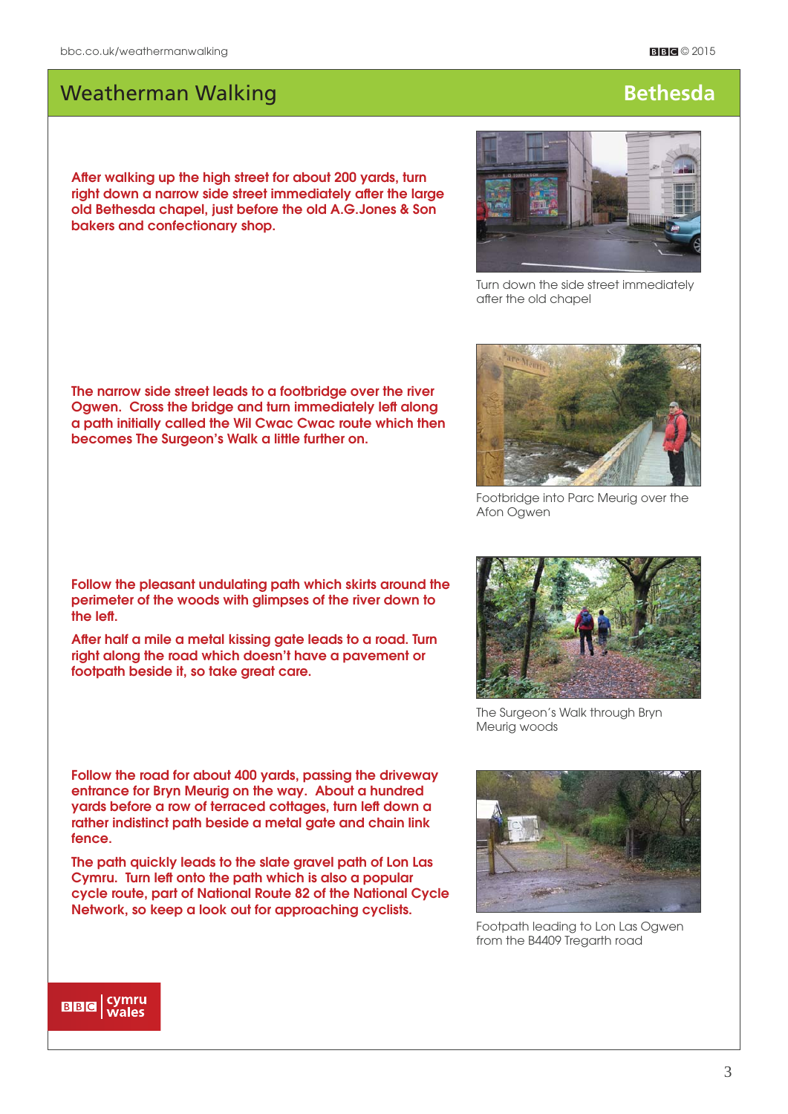After walking up the high street for about 200 yards, turn right down a narrow side street immediately after the large **old Bethesda chapel, just before the old A.G.Jones & Son bakers and confectionary shop.**

# after the old chapel

**The narrow side street leads to a footbridge over the river Ogwen. Cross the bridge and turn immediately left along a path initially called the Wil Cwac Cwac route which then becomes The Surgeon's Walk a little further on.**

**Follow the pleasant undulating path which skirts around the perimeter of the woods with glimpses of the river down to**  the left.

After half a mile a metal kissing gate leads to a road. Turn **right along the road which doesn't have a pavement or footpath beside it, so take great care.**

**Follow the road for about 400 yards, passing the driveway entrance for Bryn Meurig on the way. About a hundred yards before a row of terraced cottages, turn left down a rather indistinct path beside a metal gate and chain link fence.** 

**The path quickly leads to the slate gravel path of Lon Las Cymru. Turn left onto the path which is also a popular cycle route, part of National Route 82 of the National Cycle Network, so keep a look out for approaching cyclists.**

 $\mathbf{B}\mathbf{B}\mathbf{G}$  (symru



The Surgeon's Walk through Bryn

Meurig woods

Footpath leading to Lon Las Ogwen from the B4409 Tregarth road



Footbridge into Parc Meurig over the



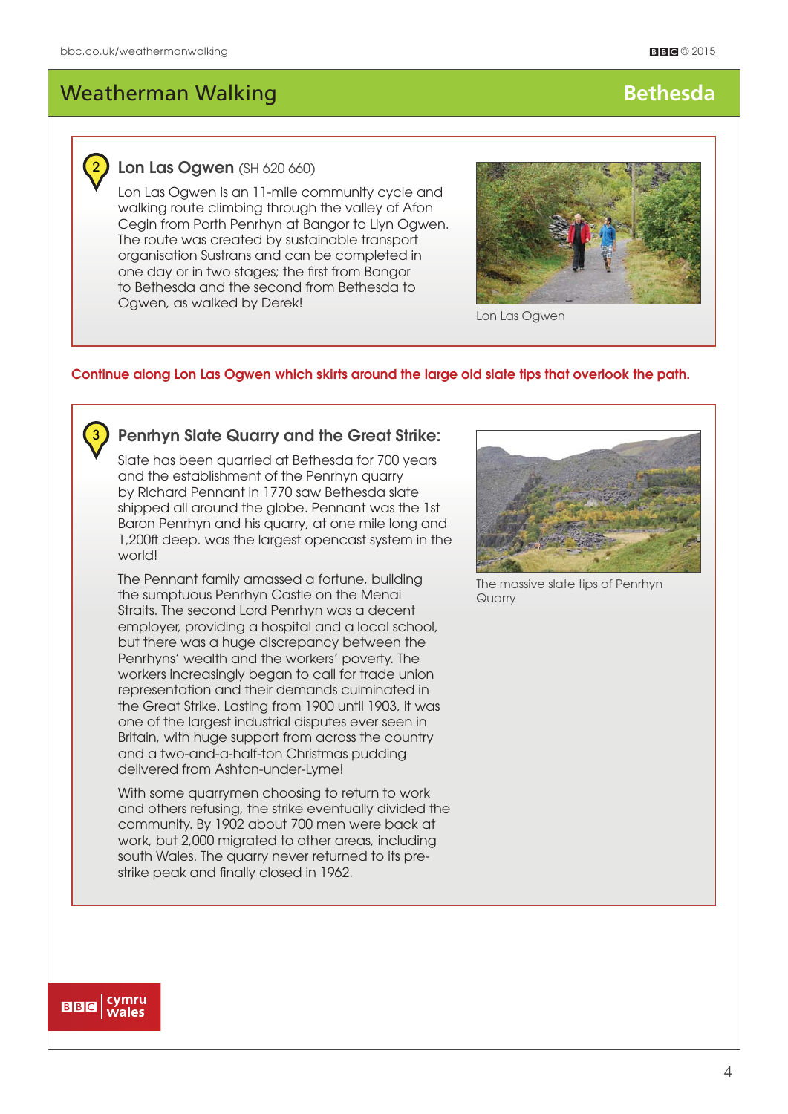# 2

3

### **Lon Las Ogwen** (SH 620 660)

Lon Las Ogwen is an 11-mile community cycle and walking route climbing through the valley of Afon Cegin from Porth Penrhyn at Bangor to Llyn Ogwen. The route was created by sustainable transport organisation Sustrans and can be completed in one day or in two stages; the first from Bangor to Bethesda and the second from Bethesda to Ogwen, as walked by Derek!



Lon Las Ogwen

#### **Continue along Lon Las Ogwen which skirts around the large old slate tips that overlook the path.**

### **Penrhyn Slate Quarry and the Great Strike:**

Slate has been quarried at Bethesda for 700 years and the establishment of the Penrhyn quarry by Richard Pennant in 1770 saw Bethesda slate shipped all around the globe. Pennant was the 1st Baron Penrhyn and his quarry, at one mile long and 1,200ft deep. was the largest opencast system in the world!

The Pennant family amassed a fortune, building the sumptuous Penrhyn Castle on the Menai Straits. The second Lord Penrhyn was a decent employer, providing a hospital and a local school, but there was a huge discrepancy between the Penrhyns' wealth and the workers' poverty. The workers increasingly began to call for trade union representation and their demands culminated in the Great Strike. Lasting from 1900 until 1903, it was one of the largest industrial disputes ever seen in Britain, with huge support from across the country and a two-and-a-half-ton Christmas pudding delivered from Ashton-under-Lyme!

With some quarrymen choosing to return to work and others refusing, the strike eventually divided the community. By 1902 about 700 men were back at work, but 2,000 migrated to other areas, including south Wales. The quarry never returned to its prestrike peak and finally closed in 1962.



The massive slate tips of Penrhyn **Quarry** 

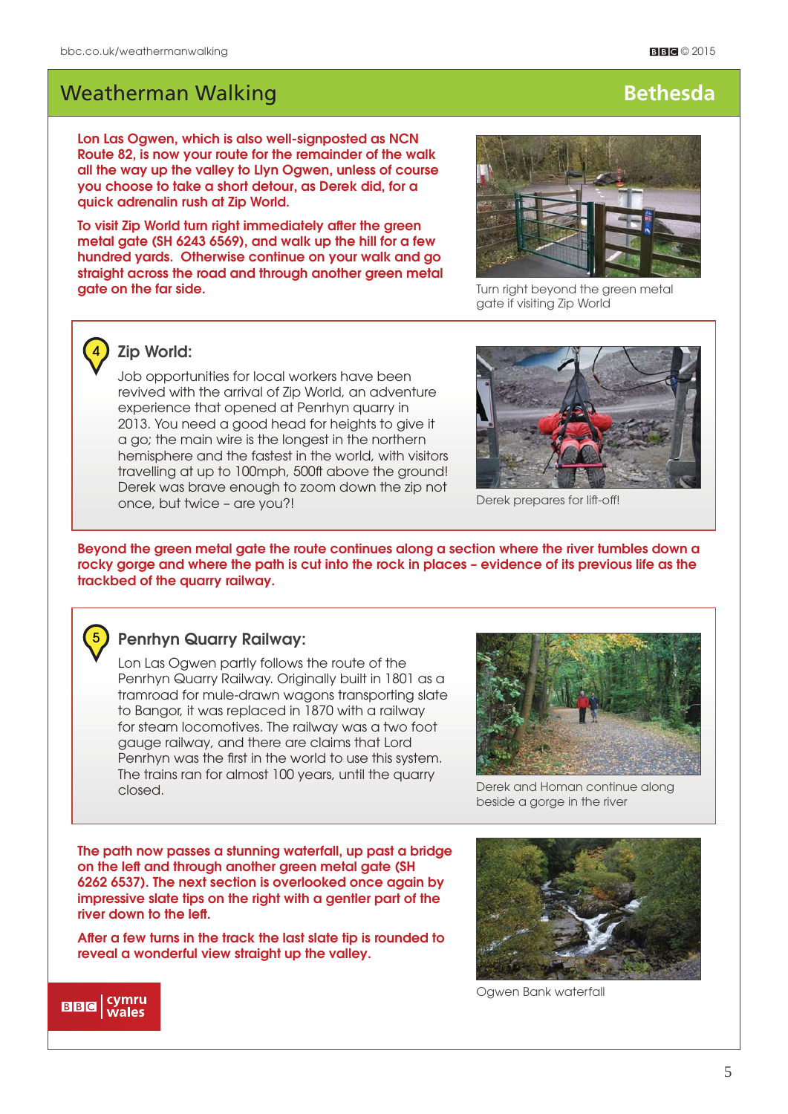**Lon Las Ogwen, which is also well-signposted as NCN Route 82, is now your route for the remainder of the walk all the way up the valley to Llyn Ogwen, unless of course you choose to take a short detour, as Derek did, for a quick adrenalin rush at Zip World.** 

To visit Zip World turn right immediately after the green **metal gate (SH 6243 6569), and walk up the hill for a few hundred yards. Otherwise continue on your walk and go straight across the road and through another green metal adie on the far side.** Turn right beyond the green metal



gate if visiting Zip World



#### **Zip World:**

Job opportunities for local workers have been revived with the arrival of Zip World, an adventure experience that opened at Penrhyn quarry in 2013. You need a good head for heights to give it a go; the main wire is the longest in the northern hemisphere and the fastest in the world, with visitors travelling at up to 100mph, 500ft above the ground! Derek was brave enough to zoom down the zip not once, but twice – are you?!



Derek prepares for lift-off!

**Beyond the green metal gate the route continues along a section where the river tumbles down a rocky gorge and where the path is cut into the rock in places – evidence of its previous life as the trackbed of the quarry railway.**



### **Penrhyn Quarry Railway:**

Lon Las Ogwen partly follows the route of the Penrhyn Quarry Railway. Originally built in 1801 as a tramroad for mule-drawn wagons transporting slate to Bangor, it was replaced in 1870 with a railway for steam locomotives. The railway was a two foot gauge railway, and there are claims that Lord Penrhyn was the first in the world to use this system. The trains ran for almost 100 years, until the quarry closed.



Derek and Homan continue along beside a gorge in the river

**The path now passes a stunning waterfall, up past a bridge on the left and through another green metal gate (SH 6262 6537). The next section is overlooked once again by impressive slate tips on the right with a gentler part of the**  river down to the left.

After a few turns in the track the last slate tip is rounded to **reveal a wonderful view straight up the valley.**



Ogwen Bank waterfall

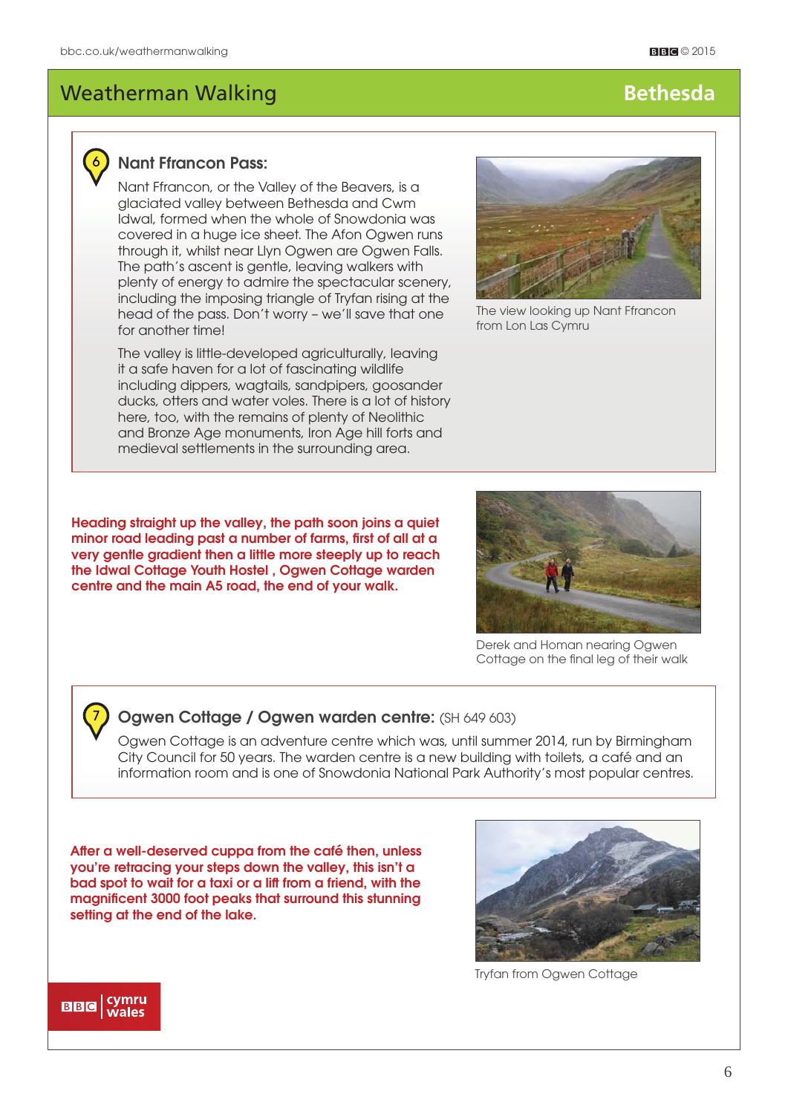

### **Nant Ffrancon Pass:**

Nant Ffrancon, or the Valley of the Beavers, is a glaciated valley between Bethesda and Cwm Idwal, formed when the whole of Snowdonia was covered in a huge ice sheet. The Afon Ogwen runs through it, whilst near Llyn Ogwen are Ogwen Falls. The path's ascent is gentle, leaving walkers with plenty of energy to admire the spectacular scenery, including the imposing triangle of Tryfan rising at the head of the pass. Don't worry – we'll save that one for another time!

The valley is little-developed agriculturally, leaving it a safe haven for a lot of fascinating wildlife including dippers, wagtails, sandpipers, goosander ducks, otters and water voles. There is a lot of history here, too, with the remains of plenty of Neolithic and Bronze Age monuments, Iron Age hill forts and medieval settlements in the surrounding area.



The view looking up Nant Ffrancon from Lon Las Cymru

**Heading straight up the valley, the path soon joins a quiet**  minor road leading past a number of farms, first of all at a **very gentle gradient then a little more steeply up to reach the Idwal Cottage Youth Hostel , Ogwen Cottage warden centre and the main A5 road, the end of your walk.** 



Derek and Homan nearing Ogwen Cottage on the final leg of their walk

### **Ogwen Cottage / Ogwen warden centre:** (SH 649 603)

Ogwen Cottage is an adventure centre which was, until summer 2014, run by Birmingham City Council for 50 years. The warden centre is a new building with toilets, a café and an information room and is one of Snowdonia National Park Authority's most popular centres.

After a well-deserved cuppa from the café then, unless **you're retracing your steps down the valley, this isn't a bad spot to wait for a taxi or a lift from a friend, with the**  magnificent 3000 foot peaks that surround this stunning **setting at the end of the lake.** 



Tryfan from Ogwen Cottage



7